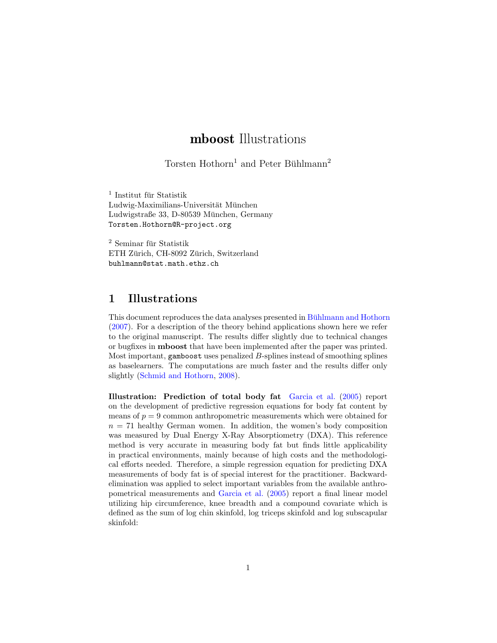# mboost Illustrations

Torsten Hothorn<sup>1</sup> and Peter Bühlmann<sup>2</sup>

 $^{\rm 1}$ Institut für Statistik Ludwig-Maximilians-Universität München Ludwigstraße 33, D-80539 München, Germany Torsten.Hothorn@R-project.org

 $2$  Seminar für Statistik ETH Zürich, CH-8092 Zürich, Switzerland buhlmann@stat.math.ethz.ch

### 1 Illustrations

This document reproduces the data analyses presented in [Buhlmann and Hothorn](#page-13-0) [\(2007\)](#page-13-0). For a description of the theory behind applications shown here we refer to the original manuscript. The results differ slightly due to technical changes or bugfixes in mboost that have been implemented after the paper was printed. Most important, gamboost uses penalized  $B$ -splines instead of smoothing splines as baselearners. The computations are much faster and the results differ only slightly [\(Schmid and Hothorn,](#page-13-1) [2008\)](#page-13-1).

Illustration: Prediction of total body fat [Garcia et al.](#page-13-2) [\(2005\)](#page-13-2) report on the development of predictive regression equations for body fat content by means of  $p = 9$  common anthropometric measurements which were obtained for  $n = 71$  healthy German women. In addition, the women's body composition was measured by Dual Energy X-Ray Absorptiometry (DXA). This reference method is very accurate in measuring body fat but finds little applicability in practical environments, mainly because of high costs and the methodological efforts needed. Therefore, a simple regression equation for predicting DXA measurements of body fat is of special interest for the practitioner. Backwardelimination was applied to select important variables from the available anthropometrical measurements and [Garcia et al.](#page-13-2) [\(2005\)](#page-13-2) report a final linear model utilizing hip circumference, knee breadth and a compound covariate which is defined as the sum of log chin skinfold, log triceps skinfold and log subscapular skinfold: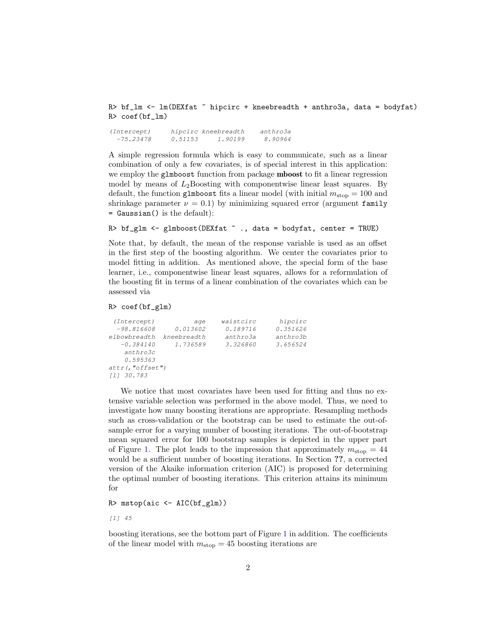R> bf\_lm <-  $lm(DEXfat \tilde{\sim} hipcirc + kneebreadth + anthro3a, data = bodyfat)$ R> coef(bf\_lm)

(Intercept) hipcirc kneebreadth anthro3a -75.23478 0.51153 1.90199 8.90964

A simple regression formula which is easy to communicate, such as a linear combination of only a few covariates, is of special interest in this application: we employ the glmboost function from package mboost to fit a linear regression model by means of  $L_2$ Boosting with componentwise linear least squares. By default, the function glmboost fits a linear model (with initial  $m_{\rm stop} = 100$  and shrinkage parameter  $\nu = 0.1$ ) by minimizing squared error (argument family = Gaussian() is the default):

R> bf\_glm <- glmboost(DEXfat  $\tilde{ }$  ., data = bodyfat, center = TRUE)

Note that, by default, the mean of the response variable is used as an offset in the first step of the boosting algorithm. We center the covariates prior to model fitting in addition. As mentioned above, the special form of the base learner, i.e., componentwise linear least squares, allows for a reformulation of the boosting fit in terms of a linear combination of the covariates which can be assessed via

```
R> coef(bf_glm)
```

| (Intercept)         | aqe         | waistcirc | hipcirc  |  |
|---------------------|-------------|-----------|----------|--|
| $-98.816608$        | 0.013602    | 0.189716  | 0.351626 |  |
| elbowbreadth        | kneebreadth | anthro3a  | anthro3b |  |
| $-0.384140$         | 1.736589    | 3.326860  | 3.656524 |  |
| anthro3c            |             |           |          |  |
| 0.595363            |             |           |          |  |
| $attr($ , "offset") |             |           |          |  |
| [1] 30.783          |             |           |          |  |
|                     |             |           |          |  |

We notice that most covariates have been used for fitting and thus no extensive variable selection was performed in the above model. Thus, we need to investigate how many boosting iterations are appropriate. Resampling methods such as cross-validation or the bootstrap can be used to estimate the out-ofsample error for a varying number of boosting iterations. The out-of-bootstrap mean squared error for 100 bootstrap samples is depicted in the upper part of Figure [1.](#page-2-0) The plot leads to the impression that approximately  $m_{\text{stop}} = 44$ would be a sufficient number of boosting iterations. In Section ??, a corrected version of the Akaike information criterion (AIC) is proposed for determining the optimal number of boosting iterations. This criterion attains its minimum for

R> mstop(aic <- AIC(bf\_glm))

[1] 45

boosting iterations, see the bottom part of Figure [1](#page-2-0) in addition. The coefficients of the linear model with  $m_{\text{stop}} = 45$  boosting iterations are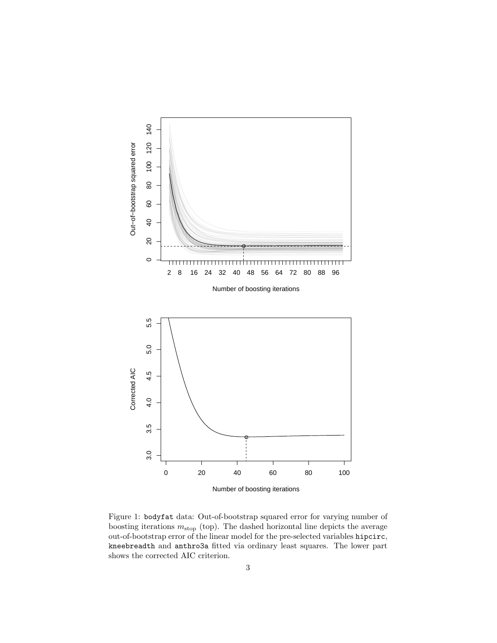

<span id="page-2-0"></span>Figure 1: bodyfat data: Out-of-bootstrap squared error for varying number of boosting iterations  $m_{\text{stop}}$  (top). The dashed horizontal line depicts the average out-of-bootstrap error of the linear model for the pre-selected variables hipcirc, kneebreadth and anthro3a fitted via ordinary least squares. The lower part shows the corrected AIC criterion.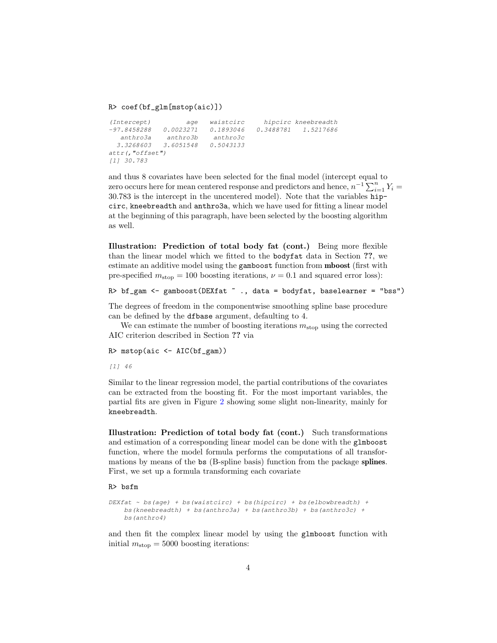#### R> coef(bf\_glm[mstop(aic)])

```
(Intercept) age waistcirc hipcirc kneebreadth
-97.8458288 0.0023271 0.1893046 0.3488781 1.5217686
  anthro3a anthro3b anthro3c
 3.3268603 3.6051548 0.5043133
attr(,"offset")
[1] 30.783
```
and thus 8 covariates have been selected for the final model (intercept equal to zero occurs here for mean centered response and predictors and hence,  $n^{-1} \sum_{i=1}^{n} Y_i =$ 30.783 is the intercept in the uncentered model). Note that the variables hipcirc, kneebreadth and anthro3a, which we have used for fitting a linear model at the beginning of this paragraph, have been selected by the boosting algorithm as well.

Illustration: Prediction of total body fat (cont.) Being more flexible than the linear model which we fitted to the bodyfat data in Section ??, we estimate an additive model using the gamboost function from mboost (first with pre-specified  $m_{\text{stop}} = 100$  boosting iterations,  $\nu = 0.1$  and squared error loss):

R> bf\_gam <- gamboost(DEXfat ~ ., data = bodyfat, baselearner = "bss")

The degrees of freedom in the componentwise smoothing spline base procedure can be defined by the dfbase argument, defaulting to 4.

We can estimate the number of boosting iterations  $m_{\text{stop}}$  using the corrected AIC criterion described in Section ?? via

 $R$ > mstop(aic <- AIC(bf\_gam))

[1] 46

Similar to the linear regression model, the partial contributions of the covariates can be extracted from the boosting fit. For the most important variables, the partial fits are given in Figure [2](#page-4-0) showing some slight non-linearity, mainly for kneebreadth.

Illustration: Prediction of total body fat (cont.) Such transformations and estimation of a corresponding linear model can be done with the glmboost function, where the model formula performs the computations of all transformations by means of the bs (B-spline basis) function from the package splines. First, we set up a formula transforming each covariate

#### R> bsfm

```
DEXfat \sim bs(age) + bs(waistcirc) + bs(hipcirc) + bs(elbowbreadth) +
    bs(kneebreadth) + bs(anthro3a) + bs(anthro3b) + bs(anthro3c) +
    bs(anthro4)
```
and then fit the complex linear model by using the glmboost function with initial  $m_{\text{stop}} = 5000$  boosting iterations: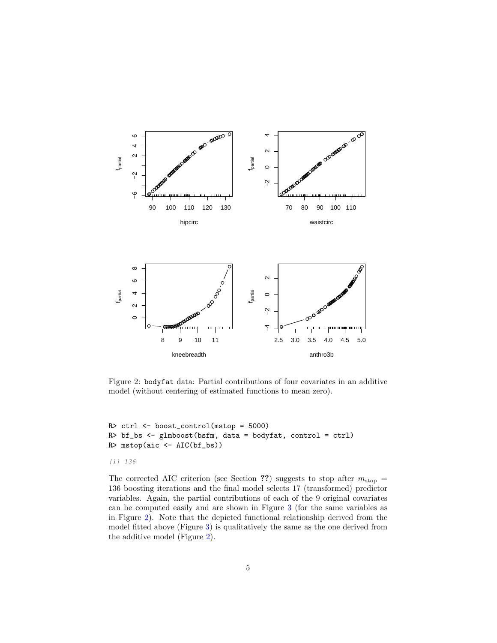

<span id="page-4-0"></span>Figure 2: bodyfat data: Partial contributions of four covariates in an additive model (without centering of estimated functions to mean zero).

```
R> ctrl <- boost_control(mstop = 5000)
R> bf_bs <- glmboost(bsfm, data = bodyfat, control = ctrl)
R> mstop(aic <- AIC(bf_bs))
```
#### [1] 136

The corrected AIC criterion (see Section ??) suggests to stop after  $m_{\text{stop}} =$ 136 boosting iterations and the final model selects 17 (transformed) predictor variables. Again, the partial contributions of each of the 9 original covariates can be computed easily and are shown in Figure [3](#page-9-0) (for the same variables as in Figure [2\)](#page-4-0). Note that the depicted functional relationship derived from the model fitted above (Figure [3\)](#page-9-0) is qualitatively the same as the one derived from the additive model (Figure [2\)](#page-4-0).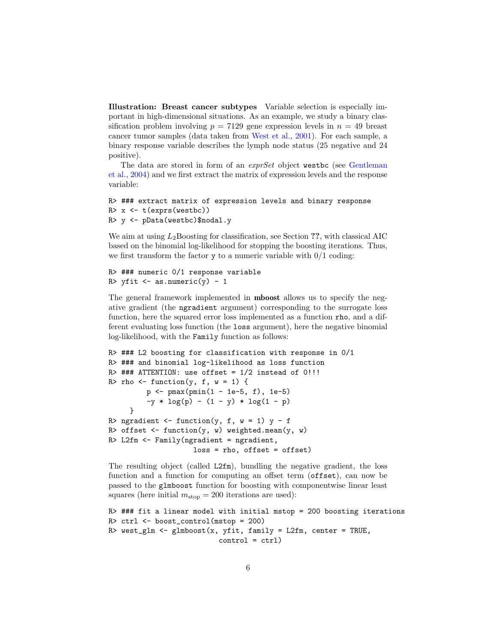Illustration: Breast cancer subtypes Variable selection is especially important in high-dimensional situations. As an example, we study a binary classification problem involving  $p = 7129$  gene expression levels in  $n = 49$  breast cancer tumor samples (data taken from [West et al.,](#page-13-3) [2001\)](#page-13-3). For each sample, a binary response variable describes the lymph node status (25 negative and 24 positive).

The data are stored in form of an *exprSet* object westbc (see [Gentleman](#page-13-4) [et al.,](#page-13-4) [2004\)](#page-13-4) and we first extract the matrix of expression levels and the response variable:

```
R> ### extract matrix of expression levels and binary response
R> x <- t(exprs(westbc))
R> y <- pData(westbc)$nodal.y
```
We aim at using  $L_2$ Boosting for classification, see Section ??, with classical AIC based on the binomial log-likelihood for stopping the boosting iterations. Thus, we first transform the factor  $y$  to a numeric variable with  $0/1$  coding:

```
R> ### numeric 0/1 response variable
R> yfit \leq as.numeric(y) - 1
```
The general framework implemented in mboost allows us to specify the negative gradient (the ngradient argument) corresponding to the surrogate loss function, here the squared error loss implemented as a function rho, and a different evaluating loss function (the loss argument), here the negative binomial log-likelihood, with the Family function as follows:

```
R> ### L2 boosting for classification with response in 0/1
R> ### and binomial log-likelihood as loss function
R> ### ATTENTION: use offset = 1/2 instead of 0!!!
R> rho <- function(y, f, w = 1) {
         p \leftarrow p \max(p \min(1 - 1e^{-5}, f), 1e^{-5})-y * log(p) - (1 - y) * log(1 - p)}
R> ngradient <- function(y, f, w = 1) y - f
R> offset \leq function(y, w) weighted.mean(y, w)
R> L2fm <- Family(ngradient = ngradient,
                     loss = rho, offset = offset)
```
The resulting object (called L2fm), bundling the negative gradient, the loss function and a function for computing an offset term (offset), can now be passed to the glmboost function for boosting with componentwise linear least squares (here initial  $m_{\text{stop}} = 200$  iterations are used):

```
R> ### fit a linear model with initial mstop = 200 boosting iterations
R> ctrl <- boost_control(mstop = 200)
R> west_glm <- glmboost(x, yfit, family = L2fm, center = TRUE,
                          control = ctrl)
```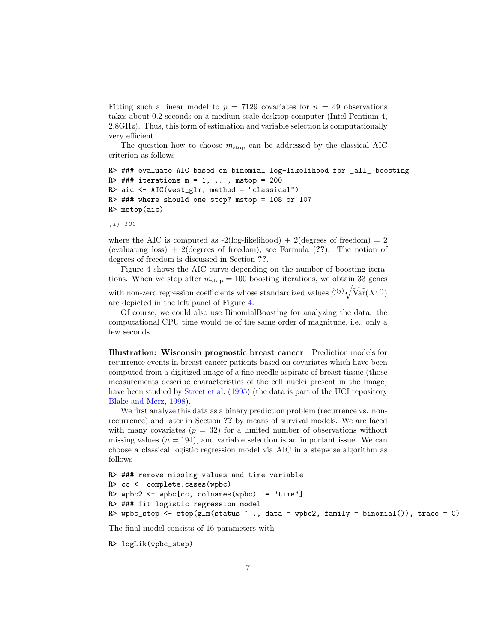Fitting such a linear model to  $p = 7129$  covariates for  $n = 49$  observations takes about 0.2 seconds on a medium scale desktop computer (Intel Pentium 4, 2.8GHz). Thus, this form of estimation and variable selection is computationally very efficient.

The question how to choose  $m_{\rm stop}$  can be addressed by the classical AIC criterion as follows

```
R> ### evaluate AIC based on binomial log-likelihood for _all_ boosting
R> ### iterations m = 1, \ldots, mstop = 200
R> aic <- AIC(west_glm, method = "classical")
R> ### where should one stop? mstop = 108 or 107
R> mstop(aic)
```
[1] 100

where the AIC is computed as  $-2(\text{log-likelihood}) + 2(\text{degrees of freedom}) = 2$ (evaluating loss)  $+2$  (degrees of freedom), see Formula  $(??)$ . The notion of degrees of freedom is discussed in Section ??.

Figure [4](#page-10-0) shows the AIC curve depending on the number of boosting iterations. When we stop after  $m_{\text{stop}} = 100$  boosting iterations, we obtain 33 genes with non-zero regression coefficients whose standardized values  $\hat{\beta}^{(j)}\sqrt{\widehat{\text{Var}}(X^{(j)})}$ are depicted in the left panel of Figure [4.](#page-10-0)

Of course, we could also use BinomialBoosting for analyzing the data: the computational CPU time would be of the same order of magnitude, i.e., only a few seconds.

Illustration: Wisconsin prognostic breast cancer Prediction models for recurrence events in breast cancer patients based on covariates which have been computed from a digitized image of a fine needle aspirate of breast tissue (those measurements describe characteristics of the cell nuclei present in the image) have been studied by [Street et al.](#page-13-5) [\(1995\)](#page-13-5) (the data is part of the UCI repository [Blake and Merz,](#page-13-6) [1998\)](#page-13-6).

We first analyze this data as a binary prediction problem (recurrence vs. nonrecurrence) and later in Section ?? by means of survival models. We are faced with many covariates  $(p = 32)$  for a limited number of observations without missing values  $(n = 194)$ , and variable selection is an important issue. We can choose a classical logistic regression model via AIC in a stepwise algorithm as follows

```
R> ### remove missing values and time variable
R> cc <- complete.cases(wpbc)
R> wpbc2 <- wpbc[cc, colnames(wpbc) != "time"]
R> ### fit logistic regression model
R> wpbc_step <- step(glm(status \tilde{ } ., data = wpbc2, family = binomial()), trace = 0)
```
The final model consists of 16 parameters with

```
R> logLik(wpbc_step)
```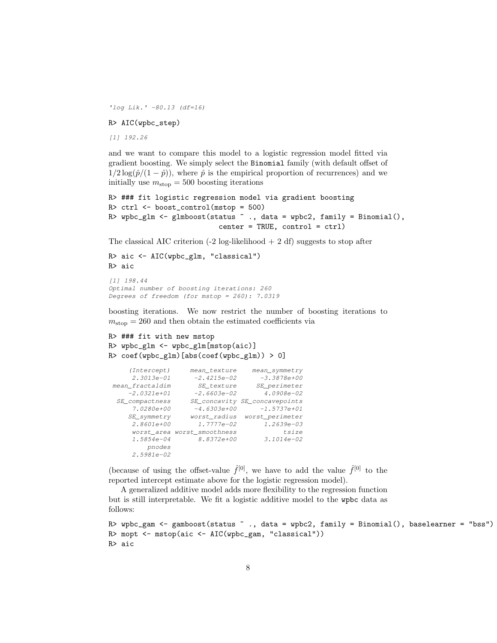'log Lik.' -80.13 (df=16)

#### R> AIC(wpbc\_step)

[1] 192.26

and we want to compare this model to a logistic regression model fitted via gradient boosting. We simply select the Binomial family (with default offset of  $1/2 \log(\hat{p}/(1-\hat{p}))$ , where  $\hat{p}$  is the empirical proportion of recurrences) and we initially use  $m_{\text{stop}} = 500$  boosting iterations

```
R> ### fit logistic regression model via gradient boosting
R> ctrl <- boost_control(mstop = 500)
R> wpbc_glm <- glmboost(status \tilde{ } ., data = wpbc2, family = Binomial(),
                           center = TRUE, control = ctrl)
```
The classical AIC criterion  $(-2 \log-11 \times 10^2 + 2 \cdot d)$  suggests to stop after

```
R> aic <- AIC(wpbc_glm, "classical")
R> aic
```

```
[1] 198.44
Optimal number of boosting iterations: 260
Degrees of freedom (for mstop = 260): 7.0319
```
boosting iterations. We now restrict the number of boosting iterations to  $m_{\rm stop} = 260$  and then obtain the estimated coefficients via

```
R> ### fit with new mstop
R> wpbc_glm <- wpbc_glm[mstop(aic)]
R> coef(wpbc_glm)[abs(coef(wpbc_glm)) > 0]
```

| (Intercept)     | mean_texture     | mean_symmetry                 |
|-----------------|------------------|-------------------------------|
| $2.3013e-01$    | $-2.4215e-02$    | $-3.3878e+00$                 |
| mean fractaldim | SE texture       | SE_perimeter                  |
| $-2.0321e+01$   | $-2.6603e-02$    | 4.0908e-02                    |
| SE_compactness  |                  | SE_concavity SE_concavepoints |
| 7.0280e+00      | $-4.6303e+00$    | $-1.5737e+01$                 |
| $SE$ _symmetry  | worst radius     | worst perimeter               |
| $2.8601e+00$    | $1.7777e - 02$   | $1.2639e - 03$                |
| worst area      | worst_smoothness | tsize                         |
| $1.5854e - 04$  | 8.8372e+00       | $3.1014e - 02$                |
| pnodes          |                  |                               |
| 2.5981e-02      |                  |                               |

(because of using the offset-value  $\hat{f}^{[0]}$ , we have to add the value  $\hat{f}^{[0]}$  to the reported intercept estimate above for the logistic regression model).

A generalized additive model adds more flexibility to the regression function but is still interpretable. We fit a logistic additive model to the wpbc data as follows:

```
R> wpbc_gam <- gamboost(status ~ ., data = wpbc2, family = Binomial(), baselearner = "bss")
R> mopt <- mstop(aic <- AIC(wpbc_gam, "classical"))
R> aic
```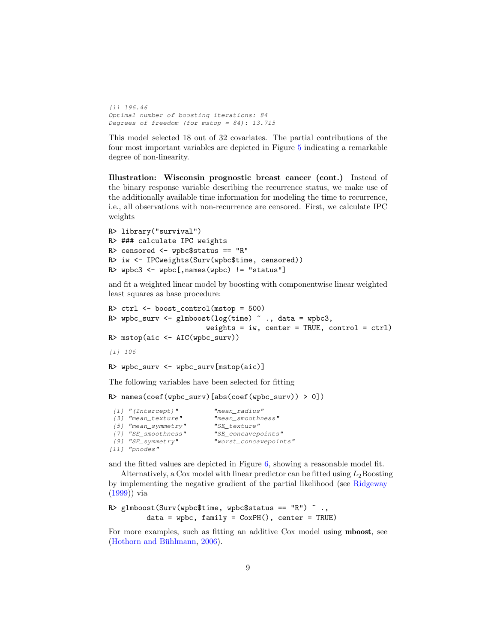[1] 196.46 Optimal number of boosting iterations: 84 Degrees of freedom (for mstop =  $84$ ): 13.715

This model selected 18 out of 32 covariates. The partial contributions of the four most important variables are depicted in Figure [5](#page-11-0) indicating a remarkable degree of non-linearity.

Illustration: Wisconsin prognostic breast cancer (cont.) Instead of the binary response variable describing the recurrence status, we make use of the additionally available time information for modeling the time to recurrence, i.e., all observations with non-recurrence are censored. First, we calculate IPC weights

```
R> library("survival")
R> ### calculate IPC weights
R> censored <- wpbc$status == "R"
R> iw <- IPCweights(Surv(wpbc$time, censored))
R> wpbc3 <- wpbc[, names(wpbc) != "status"]
```
and fit a weighted linear model by boosting with componentwise linear weighted least squares as base procedure:

```
R> ctrl <- boost_control(mstop = 500)
R> wpbc_surv <- glmboost(log(time) \tilde{ } ., data = wpbc3,
                        weights = iw, center = TRUE, control = ctrl)R> mstop(aic <- AIC(wpbc_surv))
[1] 106
R> wpbc_surv <- wpbc_surv[mstop(aic)]
The following variables have been selected for fitting
R> names(coef(wpbc_surv)[abs(coef(wpbc_surv)) > 0])
```

```
[1] "(Intercept)" "mean_radius"
[3] "mean_texture" "mean_smoothness"
[5] "mean_symmetry" "SE_texture"
[7] "SE_smoothness" "SE_concavepoints"
[9] "SE_symmetry" "worst_concavepoints"
[11] "pnodes"
```
and the fitted values are depicted in Figure [6,](#page-12-0) showing a reasonable model fit.

Alternatively, a Cox model with linear predictor can be fitted using  $L_2$ Boosting by implementing the negative gradient of the partial likelihood (see [Ridgeway](#page-13-7) [\(1999\)](#page-13-7)) via

```
R> glmboost(Surv(wpbc$time, wpbc$status == "R") \tilde{ }.,
         data = wpbc, family = CoxPH(), center = TRUE)
```
For more examples, such as fitting an additive Cox model using mboost, see (Hothorn and Bühlmann,  $2006$ ).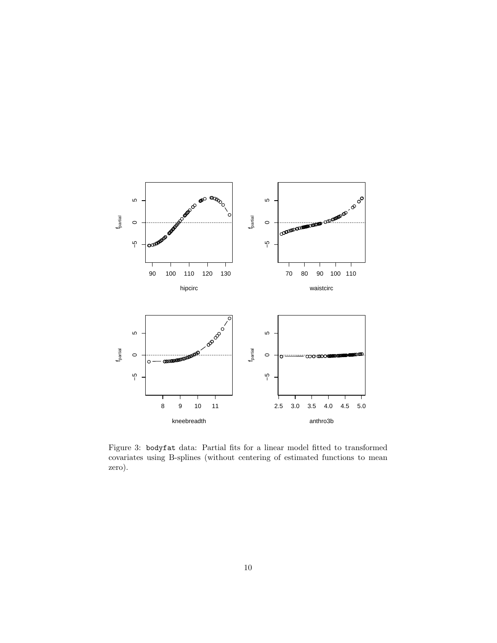

<span id="page-9-0"></span>Figure 3: bodyfat data: Partial fits for a linear model fitted to transformed covariates using B-splines (without centering of estimated functions to mean zero).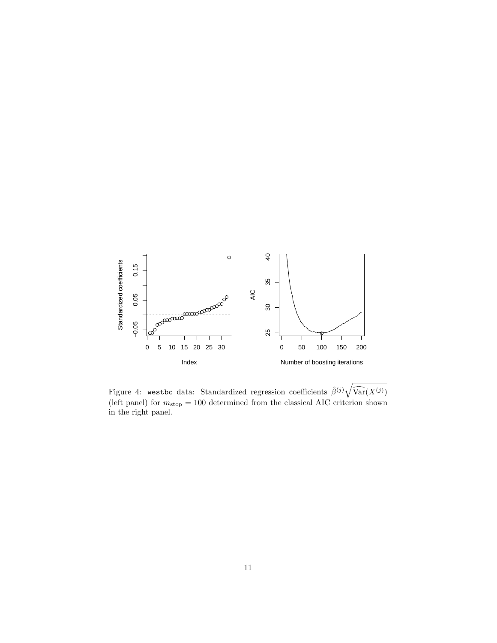

<span id="page-10-0"></span>Figure 4: westbc data: Standardized regression coefficients  $\hat{\beta}^{(j)}\sqrt{\widehat{\text{Var}}(X^{(j)})}$ (left panel) for  $m_{\rm stop} = 100$  determined from the classical AIC criterion shown in the right panel.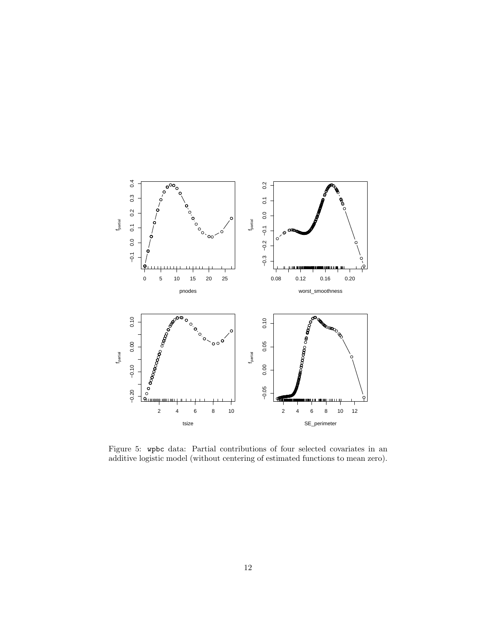

<span id="page-11-0"></span>Figure 5: wpbc data: Partial contributions of four selected covariates in an additive logistic model (without centering of estimated functions to mean zero).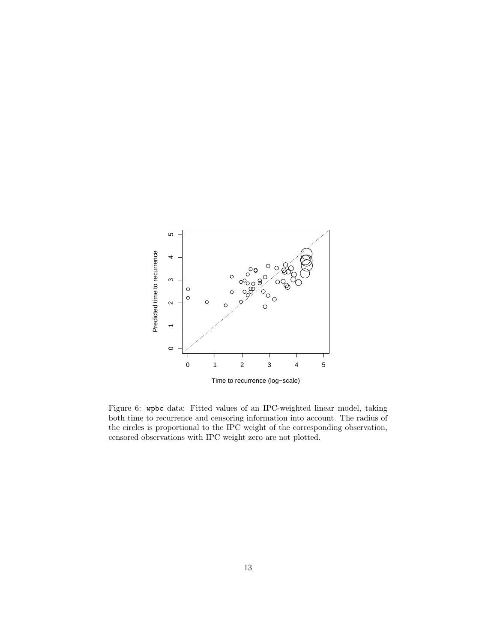

<span id="page-12-0"></span>Figure 6: wpbc data: Fitted values of an IPC-weighted linear model, taking both time to recurrence and censoring information into account. The radius of the circles is proportional to the IPC weight of the corresponding observation, censored observations with IPC weight zero are not plotted.